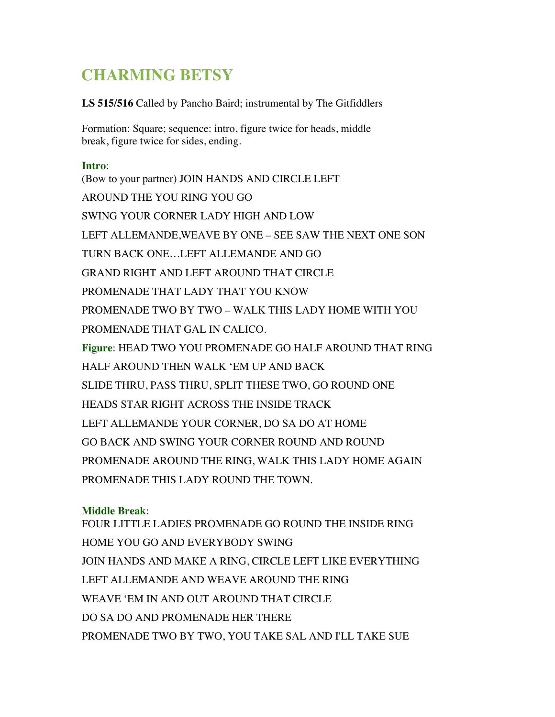## **CHARMING BETSY**

**LS 515/516** Called by Pancho Baird; instrumental by The Gitfiddlers

Formation: Square; sequence: intro, figure twice for heads, middle break, figure twice for sides, ending.

## **Intro**:

(Bow to your partner) JOIN HANDS AND CIRCLE LEFT AROUND THE YOU RING YOU GO SWING YOUR CORNER LADY HIGH AND LOW LEFT ALLEMANDE,WEAVE BY ONE – SEE SAW THE NEXT ONE SON TURN BACK ONE…LEFT ALLEMANDE AND GO GRAND RIGHT AND LEFT AROUND THAT CIRCLE PROMENADE THAT LADY THAT YOU KNOW PROMENADE TWO BY TWO – WALK THIS LADY HOME WITH YOU PROMENADE THAT GAL IN CALICO. **Figure**: HEAD TWO YOU PROMENADE GO HALF AROUND THAT RING HALF AROUND THEN WALK 'EM UP AND BACK SLIDE THRU, PASS THRU, SPLIT THESE TWO, GO ROUND ONE HEADS STAR RIGHT ACROSS THE INSIDE TRACK LEFT ALLEMANDE YOUR CORNER, DO SA DO AT HOME GO BACK AND SWING YOUR CORNER ROUND AND ROUND PROMENADE AROUND THE RING, WALK THIS LADY HOME AGAIN PROMENADE THIS LADY ROUND THE TOWN.

## **Middle Break**:

FOUR LITTLE LADIES PROMENADE GO ROUND THE INSIDE RING HOME YOU GO AND EVERYBODY SWING JOIN HANDS AND MAKE A RING, CIRCLE LEFT LIKE EVERYTHING LEFT ALLEMANDE AND WEAVE AROUND THE RING WEAVE 'EM IN AND OUT AROUND THAT CIRCLE DO SA DO AND PROMENADE HER THERE PROMENADE TWO BY TWO, YOU TAKE SAL AND I'LL TAKE SUE